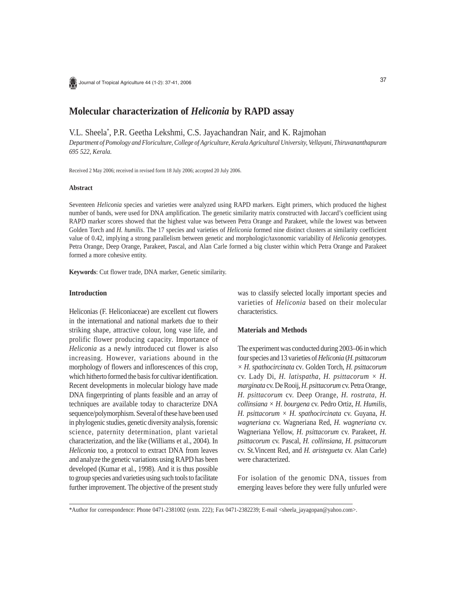

Journal of Tropical Agriculture 44 (1-2): 37-41, 2006

# **Molecular characterization of** *Heliconia* **by RAPD assay**

V.L. Sheela\* , P.R. Geetha Lekshmi, C.S. Jayachandran Nair, and K. Rajmohan

*Department of Pomology and Floriculture, College of Agriculture, Kerala Agricultural University, Vellayani, Thiruvananthapuram 695 522, Kerala.*

Received 2 May 2006; received in revised form 18 July 2006; accepted 20 July 2006.

### **Abstract**

Seventeen *Heliconia* species and varieties were analyzed using RAPD markers. Eight primers, which produced the highest number of bands, were used for DNA amplification. The genetic similarity matrix constructed with Jaccard's coefficient using RAPD marker scores showed that the highest value was between Petra Orange and Parakeet, while the lowest was between Golden Torch and *H. humilis*. The 17 species and varieties of *Heliconia* formed nine distinct clusters at similarity coefficient value of 0.42, implying a strong parallelism between genetic and morphologic/taxonomic variability of *Heliconia* genotypes. Petra Orange, Deep Orange, Parakeet, Pascal, and Alan Carle formed a big cluster within which Petra Orange and Parakeet formed a more cohesive entity.

**Keywords**: Cut flower trade, DNA marker, Genetic similarity.

## **Introduction**

Heliconias (F. Heliconiaceae) are excellent cut flowers in the international and national markets due to their striking shape, attractive colour, long vase life, and prolific flower producing capacity. Importance of *Heliconia* as a newly introduced cut flower is also increasing. However, variations abound in the morphology of flowers and inflorescences of this crop, which hitherto formed the basis for cultivar identification. Recent developments in molecular biology have made DNA fingerprinting of plants feasible and an array of techniques are available today to characterize DNA sequence/polymorphism. Several of these have been used in phylogenic studies, genetic diversity analysis, forensic science, paternity determination, plant varietal characterization, and the like (Williams et al., 2004). In *Heliconia* too, a protocol to extract DNA from leaves and analyze the genetic variations using RAPD has been developed (Kumar et al., 1998). And it is thus possible to group species and varieties using such tools to facilitate further improvement. The objective of the present study was to classify selected locally important species and varieties of *Heliconia* based on their molecular characteristics.

#### **Materials and Methods**

The experiment was conducted during 2003–06 in which four species and 13 varieties of *Heliconia* (*H. psittacorum × H. spathocircinata* cv*.* Golden Torch, *H. psittacorum* cv. Lady Di, *H. latispatha, H. psittacorum × H. marginata* cv. De Rooij, *H. psittacorum* cv. Petra Orange, *H. psittacorum* cv. Deep Orange, *H. rostrata, H. collinsiana × H*. *bourgena* cv. Pedro Ortiz, *H. Humilis*, *H. psittacorum × H. spathocircinata* cv. Guyana, *H. wagneriana* cv. Wagneriana Red, *H. wagneriana* cv. Wagneriana Yellow, *H. psittacorum* cv. Parakeet, *H. psittacorum* cv. Pascal, *H. collinsiana*, *H. psittacorum* cv. St.Vincent Red, and *H. aristegueta* cv. Alan Carle) were characterized.

For isolation of the genomic DNA, tissues from emerging leaves before they were fully unfurled were

\*Author for correspondence: Phone 0471-2381002 (extn. 222); Fax 0471-2382239; E-mail <sheela\_jayagopan@yahoo.com>.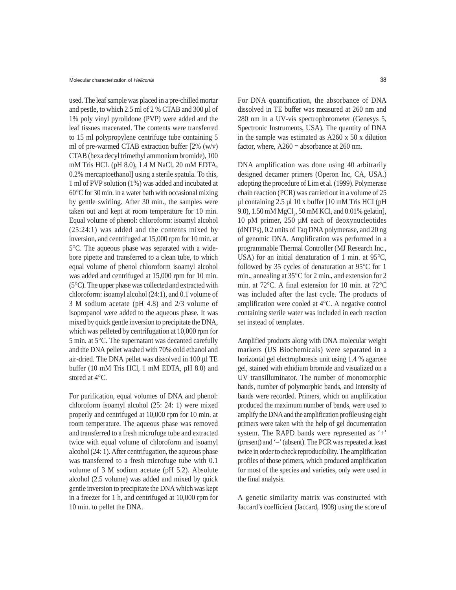used. The leaf sample was placed in a pre-chilled mortar and pestle, to which 2.5 ml of 2 % CTAB and 300 µl of 1% poly vinyl pyrolidone (PVP) were added and the leaf tissues macerated. The contents were transferred to 15 ml polypropylene centrifuge tube containing 5 ml of pre-warmed CTAB extraction buffer [2% (w/v) CTAB (hexa decyl trimethyl ammonium bromide), 100 mM Tris HCL (pH 8.0), 1.4 M NaCl, 20 mM EDTA, 0.2% mercaptoethanol] using a sterile spatula. To this, 1 ml of PVP solution (1%) was added and incubated at 60°C for 30 min. in a water bath with occasional mixing by gentle swirling. After 30 min., the samples were taken out and kept at room temperature for 10 min. Equal volume of phenol: chloroform: isoamyl alcohol (25:24:1) was added and the contents mixed by inversion, and centrifuged at 15,000 rpm for 10 min. at 5°C. The aqueous phase was separated with a widebore pipette and transferred to a clean tube, to which equal volume of phenol chloroform isoamyl alcohol was added and centrifuged at 15,000 rpm for 10 min. (5°C). The upper phase was collected and extracted with chloroform: isoamyl alcohol (24:1), and 0.1 volume of 3 M sodium acetate (pH 4.8) and 2/3 volume of isopropanol were added to the aqueous phase. It was mixed by quick gentle inversion to precipitate the DNA, which was pelleted by centrifugation at 10,000 rpm for 5 min. at 5°C. The supernatant was decanted carefully and the DNA pellet washed with 70% cold ethanol and air-dried. The DNA pellet was dissolved in 100 µl TE buffer (10 mM Tris HCl, 1 mM EDTA, pH 8.0) and stored at 4°C.

For purification, equal volumes of DNA and phenol: chloroform isoamyl alcohol (25: 24: 1) were mixed properly and centrifuged at 10,000 rpm for 10 min. at room temperature. The aqueous phase was removed and transferred to a fresh microfuge tube and extracted twice with equal volume of chloroform and isoamyl alcohol (24: 1). After centrifugation, the aqueous phase was transferred to a fresh microfuge tube with 0.1 volume of 3 M sodium acetate (pH 5.2). Absolute alcohol (2.5 volume) was added and mixed by quick gentle inversion to precipitate the DNA which was kept in a freezer for 1 h, and centrifuged at 10,000 rpm for 10 min. to pellet the DNA.

For DNA quantification, the absorbance of DNA dissolved in TE buffer was measured at 260 nm and 280 nm in a UV-vis spectrophotometer (Genesys 5, Spectronic Instruments, USA). The quantity of DNA in the sample was estimated as A260 x 50 x dilution factor, where,  $A260 =$  absorbance at 260 nm.

DNA amplification was done using 40 arbitrarily designed decamer primers (Operon Inc, CA, USA.) adopting the procedure of Lim et al. (1999). Polymerase chain reaction (PCR) was carried out in a volume of 25  $\mu$ l containing 2.5  $\mu$ l 10 x buffer [10 mM Tris HCI (pH 9.0), 1.50 mM  $MgCl_2$ , 50 mM KCl, and 0.01% gelatin], 10 pM primer, 250 µM each of deoxynucleotides (dNTPs), 0.2 units of Taq DNA polymerase, and 20 ng of genomic DNA. Amplification was performed in a programmable Thermal Controller (MJ Research Inc., USA) for an initial denaturation of 1 min. at 95°C, followed by 35 cycles of denaturation at 95°C for 1 min., annealing at 35°C for 2 min., and extension for 2 min. at 72°C. A final extension for 10 min. at 72°C was included after the last cycle. The products of amplification were cooled at 4°C. A negative control containing sterile water was included in each reaction set instead of templates.

Amplified products along with DNA molecular weight markers (US Biochemicals) were separated in a horizontal gel electrophoresis unit using 1.4 % agarose gel, stained with ethidium bromide and visualized on a UV transilluminator. The number of monomorphic bands, number of polymorphic bands, and intensity of bands were recorded. Primers, which on amplification produced the maximum number of bands, were used to amplify the DNA and the amplification profile using eight primers were taken with the help of gel documentation system. The RAPD bands were represented as '+' (present) and '–' (absent). The PCR was repeated at least twice in order to check reproducibility. The amplification profiles of those primers, which produced amplification for most of the species and varieties, only were used in the final analysis.

A genetic similarity matrix was constructed with Jaccard's coefficient (Jaccard, 1908) using the score of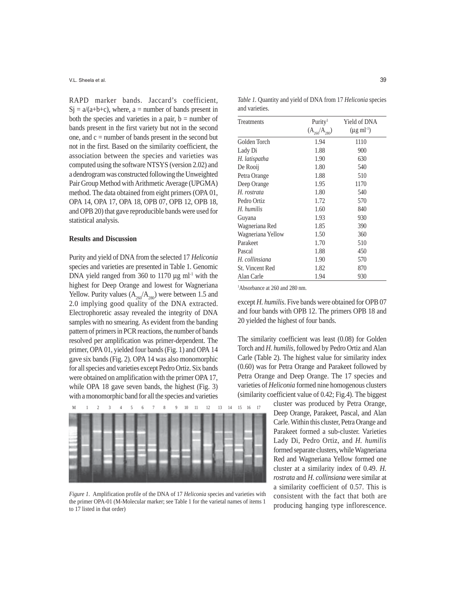V.L. Sheela et al.

RAPD marker bands. Jaccard's coefficient,  $Si = a/(a+b+c)$ , where, a = number of bands present in both the species and varieties in a pair,  $b =$  number of bands present in the first variety but not in the second one, and  $c =$  number of bands present in the second but not in the first. Based on the similarity coefficient, the association between the species and varieties was computed using the software NTSYS (version 2.02) and a dendrogram was constructed following the Unweighted Pair Group Method with Arithmetic Average (UPGMA) method. The data obtained from eight primers (OPA 01, OPA 14, OPA 17, OPA 18, OPB 07, OPB 12, OPB 18, and OPB 20) that gave reproducible bands were used for statistical analysis.

## **Results and Discussion**

Purity and yield of DNA from the selected 17 *Heliconia* species and varieties are presented in Table 1. Genomic DNA yield ranged from 360 to 1170  $\mu$ g ml<sup>-1</sup> with the highest for Deep Orange and lowest for Wagneriana Yellow. Purity values  $(A_{260}/A_{280})$  were between 1.5 and 2.0 implying good quality of the DNA extracted. Electrophoretic assay revealed the integrity of DNA samples with no smearing. As evident from the banding pattern of primers in PCR reactions, the number of bands resolved per amplification was primer-dependent. The primer, OPA 01, yielded four bands (Fig. 1) and OPA 14 gave six bands (Fig. 2). OPA 14 was also monomorphic for all species and varieties except Pedro Ortiz. Six bands were obtained on amplification with the primer OPA 17, while OPA 18 gave seven bands, the highest (Fig. 3) with a monomorphic band for all the species and varieties



*Figure 1*. Amplification profile of the DNA of 17 *Heliconia* species and varieties with the primer OPA-01 (M-Molecular marker; see Table 1 for the varietal names of items 1 to 17 listed in that order)

*Table 1.* Quantity and yield of DNA from 17 *Heliconia* species and varieties.

| Treatments             | Purity <sup>1</sup> | Yield of DNA              |
|------------------------|---------------------|---------------------------|
|                        | $(A_{260}/A_{280})$ | $(\mu g \text{ ml}^{-1})$ |
| Golden Torch           | 1.94                | 1110                      |
| Lady Di                | 1.88                | 900                       |
| H. latispatha          | 1.90                | 630                       |
| De Rooij               | 1.80                | 540                       |
| Petra Orange           | 1.88                | 510                       |
| Deep Orange            | 1.95                | 1170                      |
| H. rostrata            | 1.80                | 540                       |
| Pedro Ortiz            | 1.72                | 570                       |
| H. humilis             | 1.60                | 840                       |
| Guyana                 | 1.93                | 930                       |
| Wagneriana Red         | 1.85                | 390                       |
| Wagneriana Yellow      | 1.50                | 360                       |
| Parakeet               | 1.70                | 510                       |
| Pascal                 | 1.88                | 450                       |
| H. collinsiana         | 1.90                | 570                       |
| <b>St. Vincent Red</b> | 1.82                | 870                       |
| Alan Carle             | 1.94                | 930                       |

1 Absorbance at 260 and 280 nm.

except *H. humilis*. Five bands were obtained for OPB 07 and four bands with OPB 12. The primers OPB 18 and 20 yielded the highest of four bands.

The similarity coefficient was least (0.08) for Golden Torch and *H. humilis*, followed by Pedro Ortiz and Alan Carle (Table 2). The highest value for similarity index (0.60) was for Petra Orange and Parakeet followed by Petra Orange and Deep Orange. The 17 species and varieties of *Heliconia* formed nine homogenous clusters (similarity coefficient value of 0.42; Fig.4). The biggest

> cluster was produced by Petra Orange, Deep Orange, Parakeet, Pascal, and Alan Carle. Within this cluster, Petra Orange and Parakeet formed a sub-cluster. Varieties Lady Di, Pedro Ortiz, and *H. humilis* formed separate clusters, while Wagneriana Red and Wagneriana Yellow formed one cluster at a similarity index of 0.49. *H. rostrata* and *H. collinsiana* were similar at a similarity coefficient of 0.57. This is consistent with the fact that both are producing hanging type inflorescence.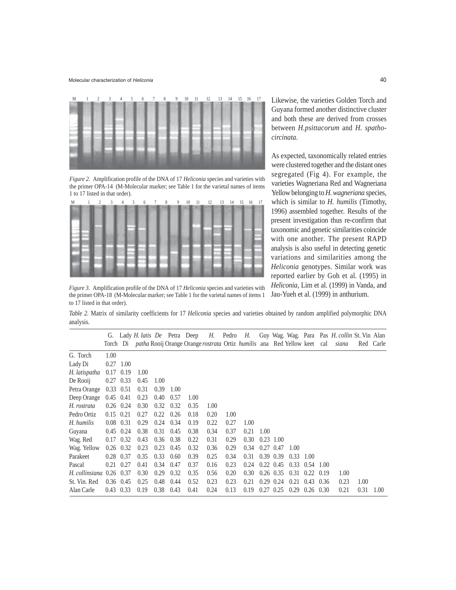

*Figure 2*. Amplification profile of the DNA of 17 *Heliconia* species and varieties with the primer OPA-14 (M-Molecular marker; see Table 1 for the varietal names of items 1 to 17 listed in that order).



*Figure 3*. Amplification profile of the DNA of 17 *Heliconia* species and varieties with the primer OPA-18 (M-Molecular marker; see Table 1 for the varietal names of items 1 to 17 listed in that order).

Likewise, the varieties Golden Torch and Guyana formed another distinctive cluster and both these are derived from crosses between *H.psittacorum* and *H. spathocircinata*.

As expected, taxonomically related entries were clustered together and the distant ones segregated (Fig 4). For example, the varieties Wagneriana Red and Wagneriana Yellow belonging to *H. wagneriana* species, which is similar to *H. humilis* (Timothy, 1996) assembled together*.* Results of the present investigation thus re-confirm that taxonomic and genetic similarities coincide with one another. The present RAPD analysis is also useful in detecting genetic variations and similarities among the *Heliconia* genotypes. Similar work was reported earlier by Goh et al. (1995) in *Heliconia*, Lim et al. (1999) in Vanda, and Jau-Yueh et al. (1999) in anthurium.

*Table 2.* Matrix of similarity coefficients for 17 *Heliconia* species and varieties obtained by random amplified polymorphic DNA analysis.

|                                |                   |      | G. Lady <i>H. latis De</i> Petra Deep |      |      |      |      |      | H. Pedro H.                                                                                            |      |                   |      |      |      | Guy Wag. Wag. Para Pas <i>H. collin</i> St. Vin Alan |      |           |
|--------------------------------|-------------------|------|---------------------------------------|------|------|------|------|------|--------------------------------------------------------------------------------------------------------|------|-------------------|------|------|------|------------------------------------------------------|------|-----------|
|                                |                   |      |                                       |      |      |      |      |      | Torch Di <i>patha</i> Rooij Orange Orange <i>rostrata</i> Ortiz <i>humilis</i> ana Red Yellow keet cal |      |                   |      |      |      | siana                                                |      | Red Carle |
| G. Torch                       | 1.00              |      |                                       |      |      |      |      |      |                                                                                                        |      |                   |      |      |      |                                                      |      |           |
| Lady Di                        | $0.27$ 1.00       |      |                                       |      |      |      |      |      |                                                                                                        |      |                   |      |      |      |                                                      |      |           |
| H. latispatha                  | 0.17              | 0.19 | 1.00                                  |      |      |      |      |      |                                                                                                        |      |                   |      |      |      |                                                      |      |           |
| De Rooij                       | 0.27              | 0.33 | 0.45                                  | 1.00 |      |      |      |      |                                                                                                        |      |                   |      |      |      |                                                      |      |           |
| Petra Orange                   | $0.33 \quad 0.51$ |      | 0.31                                  | 0.39 | 1.00 |      |      |      |                                                                                                        |      |                   |      |      |      |                                                      |      |           |
| Deep Orange                    | $0.45$ 0.41       |      | 0.23                                  | 0.40 | 0.57 | 1.00 |      |      |                                                                                                        |      |                   |      |      |      |                                                      |      |           |
| H. rostrata                    | $0.26$ 0.24       |      | 0.30                                  | 0.32 | 0.32 | 0.35 | 1.00 |      |                                                                                                        |      |                   |      |      |      |                                                      |      |           |
| Pedro Ortiz                    | $0.15$ $0.21$     |      | 0.27                                  | 0.22 | 0.26 | 0.18 | 0.20 | 1.00 |                                                                                                        |      |                   |      |      |      |                                                      |      |           |
| H. humilis                     | $0.08$ 0.31       |      | 0.29                                  | 0.24 | 0.34 | 0.19 | 0.22 | 0.27 | 1.00                                                                                                   |      |                   |      |      |      |                                                      |      |           |
| Guyana                         | $0.45$ 0.24       |      | 0.38                                  | 0.31 | 0.45 | 0.38 | 0.34 | 0.37 | 0.21                                                                                                   | 1.00 |                   |      |      |      |                                                      |      |           |
| Wag. Red                       | $0.17$ 0.32       |      | 0.43                                  | 0.36 | 0.38 | 0.22 | 0.31 | 0.29 | 0.30                                                                                                   |      | $0.23$ 1.00       |      |      |      |                                                      |      |           |
| Wag. Yellow                    | $0.26$ 0.32       |      | 0.23                                  | 0.23 | 0.45 | 0.32 | 0.36 | 0.29 | 0.34                                                                                                   |      | $0.27$ 0.47       | 1.00 |      |      |                                                      |      |           |
| Parakeet                       | 0.28              | 0.37 | 0.35                                  | 0.33 | 0.60 | 0.39 | 0.25 | 0.34 | 0.31                                                                                                   |      | $0.39$ $0.39$     | 0.33 | 1.00 |      |                                                      |      |           |
| Pascal                         | 0.21              | 0.27 | 0.41                                  | 0.34 | 0.47 | 0.37 | 0.16 | 0.23 | 0.24                                                                                                   |      | $0.22 \quad 0.45$ | 0.33 | 0.54 | 1.00 |                                                      |      |           |
| $H.$ collinsiana $0.26$ $0.37$ |                   |      | 0.30                                  | 0.29 | 0.32 | 0.35 | 0.56 | 0.20 | 0.30                                                                                                   |      | $0.26$ 0.35       | 0.31 | 0.22 | 0.19 | 1.00                                                 |      |           |
| St. Vin. Red                   | $0.36$ 0.45       |      | 0.25                                  | 0.48 | 0.44 | 0.52 | 0.23 | 0.23 | 0.21                                                                                                   | 0.29 | 0.24              | 0.21 | 0.43 | 0.36 | 0.23                                                 | 1.00 |           |
| Alan Carle                     | 0.43              | 0.33 | 0.19                                  | 0.38 | 0.43 | 0.41 | 0.24 | 0.13 | 0.19                                                                                                   | 0.27 | 0.25              | 0.29 | 0.26 | 0.30 | 0.21                                                 | 0.31 | 1.00      |